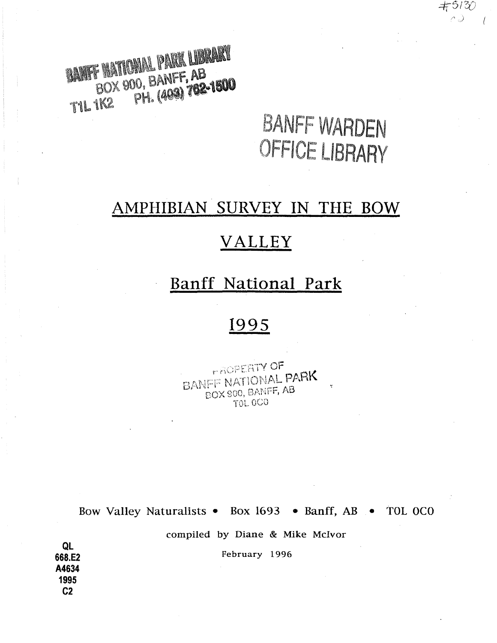BANK HATIONAL PARK LIBRARY DO, BANF**F, AB**<br>PH. (409) 702-1500 11l1\<2

# BANFF VVARDEN OFFICE LIBRARY

 $+5130$ ∩J.

## **AMPHIBIAN SURVEY IN THE BOW**

## **VALLEY**

## **Banff National Park**

## **1995**

**FROPERTY OF** BANEE NATIONAL PARK BOX 900, BANFF, AB **TOL 0CO** 

Bow Valley Naturalists • Box 1693 • Banff, AB • TOL OCO

compiled by Diane & Mike McIvor

February 1996

**QL 668.E2 A4634 1995 C2**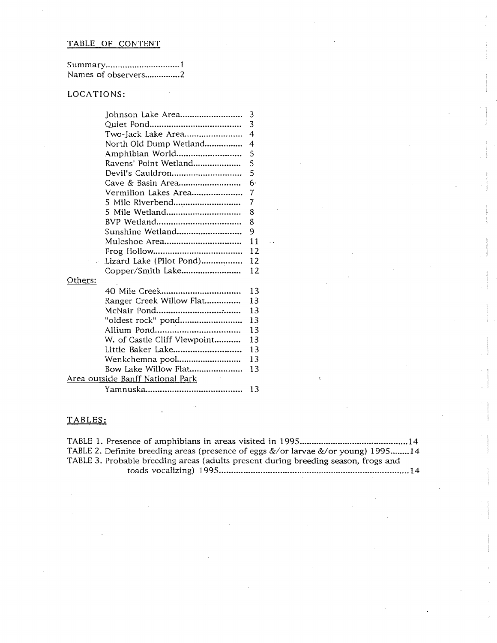#### TABLE OF CONTENT

| Summary1            |  |
|---------------------|--|
| Names of observers2 |  |

### LOCATIONS:

|         | Johnson Lake Area                        | 3              |
|---------|------------------------------------------|----------------|
|         |                                          | 3              |
|         | Two-Jack Lake Area                       | $\overline{4}$ |
|         | North Old Dump Wetland                   | 4              |
|         | Amphibian World                          | 5              |
|         | Ravens' Point Wetland                    | 5              |
|         | Devil's Cauldron                         | 5              |
|         | Cave & Basin Area                        | 6.             |
|         | Vermilion Lakes Area                     | 7              |
|         | 5 Mile Riverbend                         | 7              |
|         | 5 Mile Wetland                           | 8              |
|         |                                          | 8              |
|         | Sunshine Wetland                         | 9              |
|         | Muleshoe Area                            | 11             |
|         |                                          | 12             |
|         | Lizard Lake (Pilot Pond)                 | 12             |
|         | Copper/Smith Lake                        | 12             |
| Others: |                                          |                |
|         |                                          | 13             |
|         | Ranger Creek Willow Flat                 | 13             |
|         |                                          | 13             |
|         | "oldest rock" pond                       | 13             |
|         |                                          | 13             |
|         | W. of Castle Cliff Viewpoint             | 13             |
|         | Little Baker Lake                        | 13             |
|         | Wenkchemna pool                          | 13             |
|         | Bow Lake Willow Flat                     | 13             |
|         | <u> Area outside Banff National Park</u> |                |
|         |                                          | 13             |
|         |                                          |                |

#### TABLES:

TABLE 1. Presence of amphibians in areas visited in 1995 ............................................. 14 TABLE 2. Definite breeding areas (presence of eggs &/or larvae &/or young) 1995 ........ 14 TABLE 3. Probable breeding areas (adults present during breeding season, frogs and toads vocalizing) 1995 .............................................................................. 14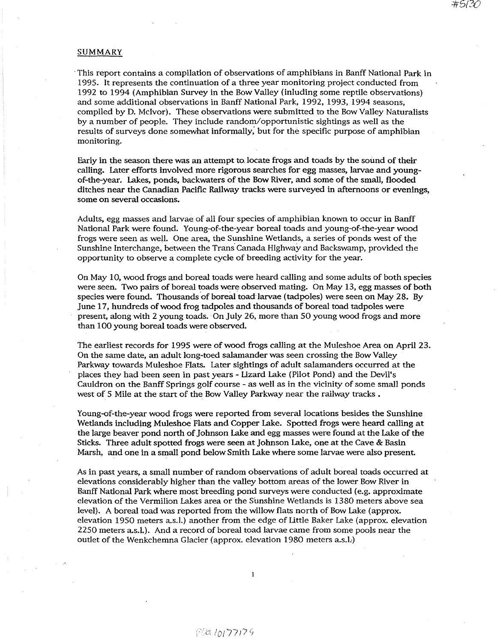#### SUMMARY

, This report contains a compilation of observations of amphibians in Banff National Park in 1995. It represents the continuation of a three year monitoring project conducted from 1992 to 1994 (Amphibian Survey in the Bow Valley (inluding some reptile observations) and some additional observations in Banff National Park, 1992, 1993, 1994 seasons, compiled by D. Mcivor). These observations were submitted to the Bow Valley Naturalists by a number of people. They include random/opportunistic sightings as well as the results of surveys done somewhat informally; but for the specific purpose of amphibian monitoring.

Early in the season there was an attempt to, locate frogs and toads by the sound of their calling. Later efforts involved more rigorous searches for egg masses, larvae and youngof-the-year. Lakes, ponds, backwaters of the Bow River, and some of the small, flooded ditches near the Canadian Pacific Railway tracks were surveyed in afternoons or evenings, some on several occasions.

Adults, egg masses and larvae of all four species of amphibian known to occur in Banff National Park were found. Young-of-the-year boreal toads and young-of-the-year wood frogs were seen as well. One area, the Sunshine Wetlands, a series of ponds west of the Sunshine Interchange, between the Trans Canada Highway and Backswamp, provided the opportunity to observe a complete cycle of breeding activity for the year.

On May 10, wood frogs and boreal toads were heard calling and some adults of both species were seen. Two pairs of boreal toads were observed mating. On May 13, egg masses of both species were found. Thousands of boreal toad larvae (tadpoles) were seen on May 28. By June 17, hundreds of wood frog tadpoles and thousands of boreal toad tadpoles were present, along with 2 young toads. ' On July 26, more than 50 young wood frogs and more than 100 young boreal toads were observed.

The earliest records for 1995 were of wood frogs calling at the Muleshoe Area on April 23. On the same date, an adult long-toed salamander was seen crossing the Bow Valley Parkway towards Muleshoe Flats. Later sightings of adult salamanders occurred at the places they had been seen in past years - Uzard Lake (Pilot Pond) and the Devil's Cauldron on the Banff Springs golf course - as well as in the vicinity of some small ponds west of 5 Mile at the start of the Bow Valley Parkway near the railway tracks.

Young-of-the-year wood frogs were reported from several locations besides the Sunshine Wetlands including Muleshoe Flats and Copper Lake. Spotted frogs were heard calling at the large beaver pond north of Johnson Lake and egg masses were found at the Lake of the Sticks. Three adult spotted frogs were seen at Johnson Lake, one at the Cave & Basin Marsh, and one in a small pond below Smith Lake where some larvae were also present.

As in past years, a small number of random observations of adult boreal toads occurred at elevations considerably higher than the valley bottom areas of the lower Bow River in Banff National Park where most breeding pond surveys were conducted (e.g. approximate elevation of the Vermilion Lakes area or the Sunshine Wetlands is 1380 meters above sea level). A boreal toad was reported from the willow flats north of Bow Lake (approx. elevation 1950 meters a.s.I.) another from the edge of Uttle Baker Lake (approx. elevation 2250 meters a.s.!.). And a record of boreal toad larvae came from some pools near the outlet of the Wenkchemna Glacier (approx. elevation 1980 meters a.s.I:)

 $\mathbf{1}$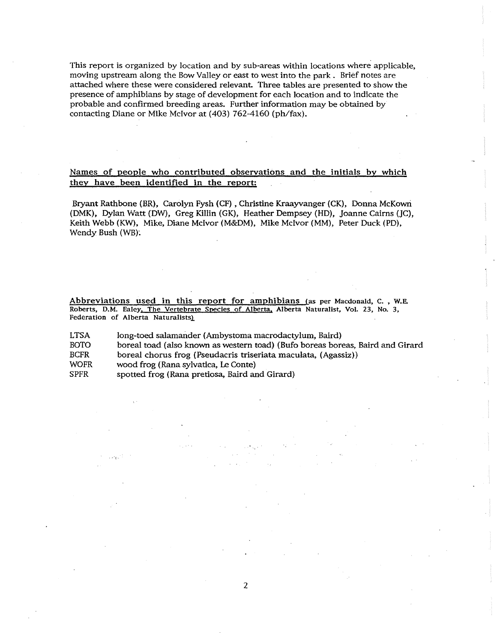This report is organized by location and by sub-areas within locations where applicable, moving upstream along the Bow Valley or east to west into the park. Brief notes are attached where these were considered relevant. Three tables are presented to show the presence of amphibians by stage of development for each location and to indicate the probable and confirmed breeding areas. Further information may be obtained by contacting Diane or Mike McIvor at (403) 762-4160 (ph/fax).

#### Names of people who contributed observations and the initials by which they have been identified in the report:

Bryant Rathbone (BR), Carolyn Pysh (CP) , Christine Kraayvanger (CK), Donna McKowri (DMK), Dylan Watt (DW), Greg Killin (GK), Heather Dempsey (HD), Joanne Cairns (JC), Keith Webb (KW), Mike, Diane McIvor (M&OM), Mike Mcivor (MM), Peter Duck (PO), Wendy Bush (WB).

Abbreviations used in this report for amphibians (as per Macdonald, C., W.E. Roberts, D.M. Ealey, The Vertebrate Species of Alberta, Alberta Naturalist, Vol. 23, No. 3, Federation of Alberta Naturalists)

LTSA BOTO BCFR WOFR SPFR long-toed salamander (Ambystoma macrodactylum, Baird) boreal toad (also known as western toad) (Bufo boreas boreas, Baird and Girard boreal chorus frog (Pseudacris triseriata maculata, (Agassiz)) wood frog (Rana sylvatica, Le Conte) spotted frog (Rana pretiosa, Baird and Girard)

in sin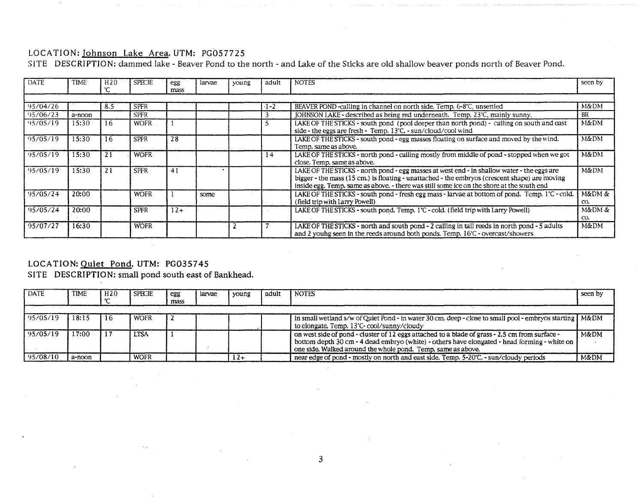### LOCATION: Johnson Lake Area. UTM: PG057725

SITE DESCRIPTION: dammed lake - Beaver Pond to the north - and Lake of the Sticks are old shallow beaver ponds north of Beaver Pond.

| DATE     | <b>TIME</b> | H <sub>20</sub> | SPECIE      | egg<br>mass | larvae | young | adult  | <b>NOTES</b>                                                                                                                                                                                                                                                                             | seen by       |
|----------|-------------|-----------------|-------------|-------------|--------|-------|--------|------------------------------------------------------------------------------------------------------------------------------------------------------------------------------------------------------------------------------------------------------------------------------------------|---------------|
|          |             |                 |             |             |        |       |        |                                                                                                                                                                                                                                                                                          |               |
| 95/04/26 |             | 8.5             | <b>SPFR</b> |             |        |       | $-1-2$ | BEAVER POND-calling in channel on north side. Temp. 6-8°C, unsettled                                                                                                                                                                                                                     | M&DM          |
| 95/06/23 | a-noon      |                 | <b>SPFR</b> |             |        |       |        | IOHNSON LAKE - described as being red underneath. Temp. 23°C, mainly sunny.                                                                                                                                                                                                              | BR            |
| 95/05/19 | 15:30       | 16              | <b>WOFR</b> |             |        |       |        | LAKE OF THE STICKS - south pond (pool deeper than north pond) - calling on south and east<br>side - the eggs are fresh - Temp. $13^{\circ}$ C. - sun/cloud/cool wind                                                                                                                     | M&DM          |
| 95/05/19 | 15:30       | 16              | <b>SPFR</b> | 28          |        |       |        | LAKE OF THE STICKS - south pond - egg masses floating on surface and moved by the wind.<br>Temp. same as above.                                                                                                                                                                          | M&DM          |
| 95/05/19 | 15:30       | 21              | <b>WOFR</b> |             |        |       | 14     | LAKE OF THE STICKS - north pond - calling mostly from middle of pond - stopped when we got<br>close. Temp. same as above.                                                                                                                                                                | M&DM          |
| 95/05/19 | 15:30       | 21              | <b>SPFR</b> | 41          |        |       |        | LAKE OF THE STICKS - north pond - egg masses at west end - in shallow water - the eggs are<br>bigger - the mass (15 cm.) is floating - unattached - the embryos (crescent shape) are moving<br>inside egg. Temp. same as above. - there was still some ice on the shore at the south end | M&DM          |
| 95/05/24 | 20:00       |                 | <b>WOFR</b> |             | some   |       |        | LAKE OF THE STICKS - south pond - fresh egg mass - larvae at bottom of pond. Temp. 1°C - cold.<br>(field trip with Larry Powell)                                                                                                                                                         | M&DM &<br>CO. |
| 95/05/24 | 20:00       |                 | <b>SPFR</b> | $12+$       |        |       |        | LAKE OF THE STICKS - south pond. Temp. 1°C - cold. (field trip with Larry Powell)                                                                                                                                                                                                        | M&DM &<br>CO. |
| 95/07/27 | 16:30       |                 | <b>WOFR</b> |             |        |       |        | LAKE OF THE STICKS - north and south pond - 2 calling in tall reeds in north pond - 5 adults<br>and 2 young seen in the reeds around both ponds. Temp. 16°C - overcast/showers                                                                                                           | M&DM          |

## LOCATION: Quiet Pond. UTM: PG035745

SITE DESCRIPTION: small pond south east of Bankhead.

| <b>DATE</b> | <b>TIME</b> | l H20 | <b>SPECIE</b> | egg<br>mass | larvae | young | adult | <b>NOTES</b>                                                                                                                                                                                                                                                   | seen by |
|-------------|-------------|-------|---------------|-------------|--------|-------|-------|----------------------------------------------------------------------------------------------------------------------------------------------------------------------------------------------------------------------------------------------------------------|---------|
|             |             |       |               |             |        |       |       |                                                                                                                                                                                                                                                                |         |
| 195/05/19   | 18:15       | -16   | <b>WOFR</b>   |             |        |       |       | in small wetland s/w of Quiet Pond - in water 30 cm. deep - close to small pool - embryos starting $\vert$ M&DM<br>to elongate. Temp. 13°C-cool/sunny/cloudy                                                                                                   |         |
| 95/05/19    | 17:00       | -17   | <b>LTSA</b>   |             |        |       |       | on west side of pond - cluster of 12 eggs attached to a blade of grass - 2.5 cm from surface -<br>bottom depth 30 cm - 4 dead embryo (white) - others have elongated - head forming - white on<br>one side. Walked around the whole pond. Temp, same as above. | M&DM    |
| 95/08/10    | a-noon      |       | <b>WOFR</b>   |             |        | $12+$ |       | near edge of pond - mostly on north and east side. Temp. 5-20°C. - sun/cloudy periods                                                                                                                                                                          | M&DM    |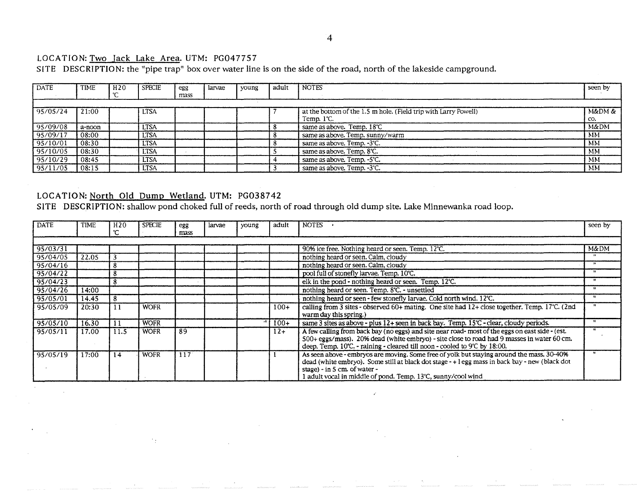## LOCATION: Two Jack Lake Area. UTM: PG047757

SITE DESCRIPTION: the "pipe trap" box over water line is on the side of the road, north of the lakeside campground.

| <b>DATE</b> | TIME   | H20 | <b>SPECIE</b> | egg  | larvae | young | adult | <b>NOTES</b>                                                                            | seen by       |
|-------------|--------|-----|---------------|------|--------|-------|-------|-----------------------------------------------------------------------------------------|---------------|
|             |        |     |               | mass |        |       |       |                                                                                         |               |
| 195/05/24   | 21:00  |     | <b>LTSA</b>   |      |        |       |       | at the bottom of the 1.5 m hole. (Field trip with Larry Powell)<br>Temp. $1^{\circ}$ C. | M&DM &<br>CO. |
| 95/09/08    | a-noon |     | LTSA          |      |        |       |       | same as above. Temp. 18°C                                                               | M&DM          |
| 95/09/17    | 08:00  |     | <b>LTSA</b>   |      |        |       |       | same as above. Temp. sunny/warm                                                         | MM.           |
| 95/10/01    | 08:30  |     | <b>LTSA</b>   |      |        |       |       | same as above. Temp. -3°C.                                                              | MM            |
| 95/10/05    | 08:30  |     | ' LTSA        |      |        |       |       | same as above. Temp. 8°C.                                                               | MM            |
| 95/10/29    | 08:45  |     | <b>LTSA</b>   |      |        |       |       | same as above. Temp. -5°C.                                                              | <b>MM</b>     |
| 95/11/05    | 08:15  |     | <b>LTSA</b>   |      |        |       |       | same as above. Temp. -3°C.                                                              | MM            |

## LOCATION: North Old Dump Wetland. UTM: PG038742

SITE DESCRIPTION: shallow pond choked full of reeds, north of road through old dump site. Lake Minnewanka road loop.

| <b>DATE</b> | <b>TIME</b> | H <sub>20</sub> | <b>SPECIE</b> | egg<br>mass | larvae | young | adult  | <b>NOTES</b>                                                                                                                                                                                                                                                                                | seen by   |
|-------------|-------------|-----------------|---------------|-------------|--------|-------|--------|---------------------------------------------------------------------------------------------------------------------------------------------------------------------------------------------------------------------------------------------------------------------------------------------|-----------|
| 95/03/31    |             |                 |               |             |        |       |        | 90% ice free. Nothing heard or seen. Temp. 12°C.                                                                                                                                                                                                                                            | M&DM      |
| 95/04/05    | 22.05       | 3               |               |             |        |       |        | nothing heard or seen. Calm, cloudy                                                                                                                                                                                                                                                         |           |
| 95/04/16    |             | 8               |               |             |        |       |        | nothing heard or seen. Calm, cloudy                                                                                                                                                                                                                                                         |           |
| 95/04/22    |             |                 |               |             |        |       |        | pool full of stonefly larvae. Temp. 10°C.                                                                                                                                                                                                                                                   | $\bullet$ |
| 95/04/23    |             | 8               |               |             |        |       |        | elk in the pond - nothing heard or seen. Temp. 12°C.                                                                                                                                                                                                                                        |           |
| 95/04/26    | 14:00       |                 |               |             |        |       |        | nothing heard or seen. Temp. 8°C. - unsettled                                                                                                                                                                                                                                               | $\bullet$ |
| 95/05/01 }  | 14.45       | 8               |               |             |        |       |        | nothing heard or seen - few stonefly larvae. Cold north wind. 12°C.                                                                                                                                                                                                                         |           |
| 95/05/09    | 20:30       |                 | <b>WOFR</b>   |             |        |       | $100+$ | calling from $\overline{3}$ sites - observed 60+ mating. One site had $12+$ close together. Temp. 17°C. (2nd<br>warm day this spring.)                                                                                                                                                      |           |
| 95/05/10    | 16.30       |                 | <b>WOFR</b>   |             |        |       | $100+$ | same 3 sites as above - plus 12+ seen in back bay. Temp. 15°C - clear, cloudy periods.                                                                                                                                                                                                      |           |
| 95/05/11    | 17.00       | 11.5            | <b>WOFR</b>   | 89          |        |       | $12 +$ | A few calling from back bay (no eggs) and site near road- most of the eggs on east side - (est.<br>500+ eggs/mass). 20% dead (white embryo) - site close to road had 9 masses in water 60 cm.<br>deep. Temp. 10°C. - raining - cleared till noon - cooled to 9°C by 18:00.                  |           |
| 95/05/19    | 17:00       | 14              | <b>WOFR</b>   | 117         |        |       |        | As seen above - embryos are moving. Some free of yolk but staying around the mass, 30-40%<br>dead (white embryo). Some still at black dot stage $-+1$ egg mass in back bay - new (black dot<br>stage) - in 5 cm. of water -<br>1 adult vocal in middle of pond. Temp. 13°C, sunny/cool wind |           |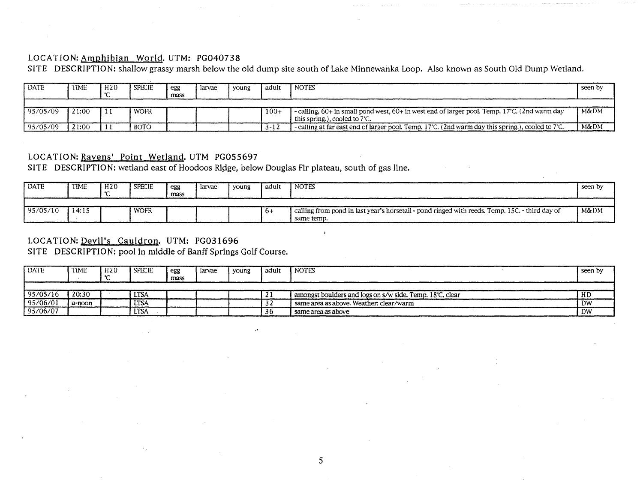## LOCATION: Amphibian World. UTM: PG040738

SITE DESCRIPTION: shallow grassy marsh below the old dump site south of Lake Minnewanka Loop. Also known as South Old Dump Wetland.

| <b>DATE</b> | <b>TIME</b> | H20 | <b>SPECIE</b> | egg<br>mass | larvae | young | adult    | <b>NOTES</b>                                                                                                                             | seen by |
|-------------|-------------|-----|---------------|-------------|--------|-------|----------|------------------------------------------------------------------------------------------------------------------------------------------|---------|
| 195/05/09   | 21:00       |     | WOFR          |             |        |       | $100+$   | -calling, $60+$ in small pond west, $60+$ in west end of larger pool. Temp. 17°C. (2nd warm day<br>this spring.), cooled to $7^\circ$ C. | M&DM    |
| 95/05/09    | 21:00       |     | <b>BOTO</b>   |             |        |       | $3 - 12$ | $\sim$ -calling at far east end of larger pool. Temp. 17°C. (2nd warm day this spring.), cooled to 7°C.                                  | M&DM    |

## LOCATION: Ravens' Point Wetland. UTM PGOSS697

SITE DESCRIPTION: wetland east of Hoodoos Ridge, below Douglas Fir plateau, south of gas line.

| <b>DATE</b> | <b>TIME</b> | H20 | <b>SPECIE</b> | egg<br>mass | larvae | voung | adult | <b>NOTES</b>                                                                                                 | seen by |
|-------------|-------------|-----|---------------|-------------|--------|-------|-------|--------------------------------------------------------------------------------------------------------------|---------|
| 95/05/10    | 14:15       |     | WOFR          |             |        |       | $b+$  | calling from pond in last year's horsetail - pond ringed with reeds. Temp. 15C. - third day of<br>same temp. | M&DM    |

## LOCATION: DeviI's Cauldron. UTM: PG031696

SITE DESCRIPTION: pool in middle of Banff Springs Golf Course.

| DATE     | <b>TIME</b> | H <sub>20</sub> | <b>SPECIE</b> | egg<br>mass | larvae | voung | adult | <b>NOTES</b>                                             | seen by   |
|----------|-------------|-----------------|---------------|-------------|--------|-------|-------|----------------------------------------------------------|-----------|
|          |             |                 |               |             |        |       |       |                                                          |           |
| 95/05/16 | 20:30       |                 | <b>LTSA</b>   |             |        |       | . .   | amongst boulders and logs on s/w side. Temp. 18°C, clear | нг<br>пL  |
| 95/06/01 | a-noon      |                 | LTSA          |             |        |       |       | same area as above. Weather: clear/warm                  | <b>DW</b> |
| 95/06/07 |             |                 | LTSA          |             |        |       | 36    | same area as above                                       | DW        |

 $\mathcal{L}^{\frac{1}{2}}$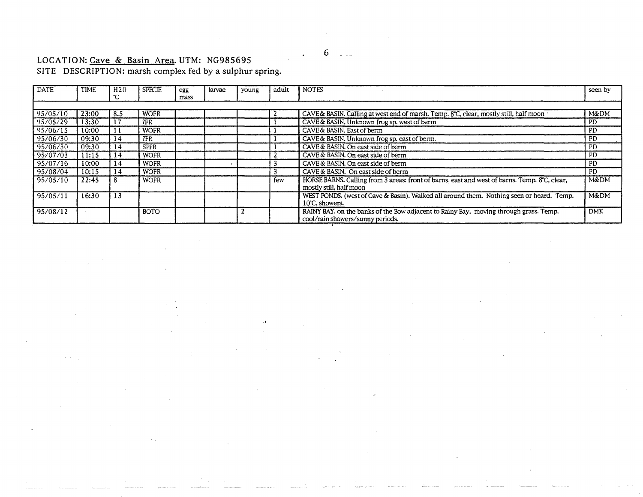#### LOCATION: Cave & Basin Area. UTM: NG985695

SITE DESCRIPTION: marsh complex fed by a sulphur spring.

| <b>DATE</b> | <b>TIME</b> | H <sub>20</sub> | <b>SPECIE</b> | egg<br>mass | larvae | young | adult | <b>NOTES</b>                                                                                                              | seen by    |
|-------------|-------------|-----------------|---------------|-------------|--------|-------|-------|---------------------------------------------------------------------------------------------------------------------------|------------|
|             |             |                 |               |             |        |       |       |                                                                                                                           |            |
| 95/05/10    | 23:00       | -8.5            | <b>WOFR</b>   |             |        |       |       | CAVE & BASIN. Calling at west end of marsh. Temp. $8^\circ$ C, clear, mostly still, half moon                             | M&DM       |
| 95/05/29    | 13:30       | 17              | 7FR           |             |        |       |       | CAVE & BASIN. Unknown frog sp. west of berm                                                                               | PD         |
| 95/06/15    | 10:00       | -11             | <b>WOFR</b>   |             |        |       |       | CAVE & BASIN, East of berm                                                                                                | PD.        |
| 95/06/30    | 09:30       | 14              | 7FR           |             |        |       |       | CAVE & BASIN. Unknown frog sp. east of berm.                                                                              | PD         |
| 95/06/30    | 09:30       | 14              | <b>SPFR</b>   |             |        |       |       | CAVE & BASIN. On east side of berm                                                                                        | PD         |
| 95/07/03    | 11:15       | 14              | <b>WOFR</b>   |             |        |       |       | CAVE & BASIN. On east side of berm                                                                                        | <b>PD</b>  |
| 95/07/16    | 10:00       | 14              | <b>WOFR</b>   |             |        |       |       | CAVE & BASIN. On east side of berm                                                                                        | PD.        |
| 95/08/04    | 10:15       | 14              | <b>WOFR</b>   |             |        |       |       | CAVE & BASIN. On east side of berm                                                                                        | PD.        |
| 95/05/10    | 22:45       | 8               | <b>WOFR</b>   |             |        |       | few   | HORSE BARNS. Calling from 3 areas: front of barns, east and west of barns. Temp. 8°C, clear,<br>mostly still, half moon   | M&DM       |
| 95/05/11    | 16:30       | 13              |               |             |        |       |       | WEST PONDS, (west of Cave & Basin). Walked all around them. Nothing seen or heard. Temp.<br>10°C, showers.                | M&DM       |
| 95/08/12    |             |                 | <b>BOTO</b>   |             |        |       |       | RAINY BAY. on the banks of the Bow adjacent to Rainy Bay. moving through grass. Temp.<br>cool/rain showers/sunny periods. | <b>DMK</b> |
|             |             |                 |               |             |        |       |       |                                                                                                                           |            |

. ,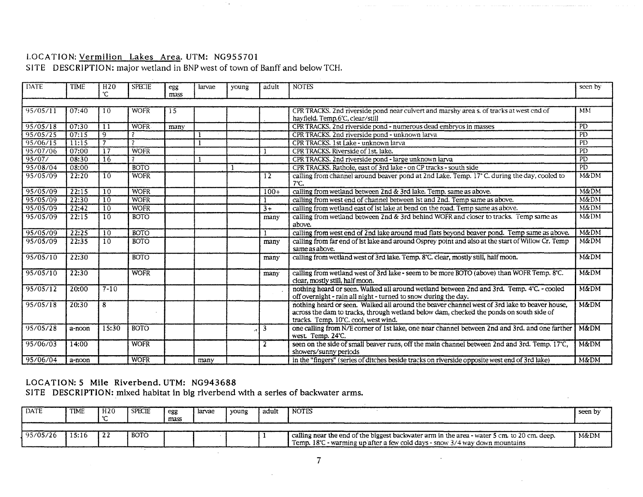## LOCATION: Vermilion Lakes Area. UTM: NG955701

## SITE DESCRIPTION: major wetland in BNP west of town of Banff and below TCH.

 $\sim$ 

| DATE     | <b>TIME</b> | H <sub>20</sub><br>°C             | <b>SPECIE</b>            | egg<br>mass | larvae | young | adult           | <b>NOTES</b>                                                                                                                                                                                                                     | seen by         |
|----------|-------------|-----------------------------------|--------------------------|-------------|--------|-------|-----------------|----------------------------------------------------------------------------------------------------------------------------------------------------------------------------------------------------------------------------------|-----------------|
|          |             |                                   |                          |             |        |       |                 |                                                                                                                                                                                                                                  |                 |
| 95/05/11 | 07:40       | 10                                | <b>WOFR</b>              | 15          |        |       |                 | CPR TRACKS. 2nd riverside pond near culvert and marshy area s. of tracks at west end of                                                                                                                                          | MM              |
|          |             |                                   |                          |             |        |       |                 | hayfield. Temp.6°C, clear/still                                                                                                                                                                                                  |                 |
| 95/05/18 | 07:30       | $\overline{1}$                    | <b>WOFR</b>              | many        |        |       |                 | CPR TRACKS. 2nd riverside pond - numerous dead embryos in masses                                                                                                                                                                 | PD              |
| 95/05/25 | 07:15       | 9                                 |                          |             |        |       |                 | CPR TRACKS. 2nd riverside pond - unknown larva                                                                                                                                                                                   | P <sub>D</sub>  |
| 95/06/15 | 11:15       | $\overline{7}$                    | $\overline{\phantom{a}}$ |             |        |       |                 | CPR TRACKS. 1st Lake - unknown larva                                                                                                                                                                                             | PD              |
| 95/07/06 | 07:00       | $\overline{17}$                   | <b>WOFR</b>              |             |        |       |                 | CPR TRACKS. Riverside of 1st. lake.                                                                                                                                                                                              | <b>PD</b>       |
| 95/07/   | 08:30       | $\overline{16}$                   | $\overline{\mathbf{z}}$  |             |        |       |                 | CPR TRACKS. 2nd riverside pond - large unknown larva                                                                                                                                                                             | <b>PD</b>       |
| 95/08/04 | 08:00       |                                   | <b>BOTO</b>              |             |        |       |                 | CPR TRACKS. Rathole, east of 3rd lake - on CP tracks - south side                                                                                                                                                                | $\overline{PD}$ |
| 95/05/09 | 22:20       | $\overline{10}$                   | <b>WOFR</b>              |             |        |       | 12              | calling from channel around beaver pond at 2nd Lake. Temp. 17° C. during the day, cooled to<br>$7^\circ$ C.                                                                                                                      | M&DM            |
| 95/05/09 | 22:15       | $\overline{10}$                   | <b>WOFR</b>              |             |        |       | $100+$          | calling from wetland between 2nd & 3rd lake. Temp. same as above.                                                                                                                                                                | M&DM            |
| 95/05/09 | 22:30       | $\sqrt{10}$                       | <b>WOFR</b>              |             |        |       |                 | calling from west end of channel between lst and 2nd. Temp same as above.                                                                                                                                                        | M&DM            |
| 95/05/09 | 22:42       | $\begin{array}{c} 10 \end{array}$ | <b>WOFR</b>              |             |        |       | $\overline{3+}$ | calling from wetland east of lst lake at bend on the road. Temp same as above.                                                                                                                                                   | <b>M&amp;DM</b> |
| 95/05/09 | 22:15       | 10                                | <b>BOTO</b>              |             |        |       | many            | calling from wetland between 2nd & 3rd behind WOFR and closer to tracks. Temp same as                                                                                                                                            | M&DM            |
|          |             |                                   |                          |             |        |       |                 | above.                                                                                                                                                                                                                           | <b>M&amp;DM</b> |
| 95/05/09 | 22:25       | $\overline{10}$                   | <b>BOTO</b>              |             |        |       |                 | calling from west end of 2nd lake around mud flats beyond beaver pond. Temp same as above.                                                                                                                                       |                 |
| 95/05/09 | 22:35       | 10                                | <b>BOTO</b>              |             |        |       | many            | calling from far end of lst lake and around Osprey point and also at the start of Willow Cr. Temp<br>same as above.                                                                                                              | M&DM            |
| 95/05/10 | 22:30       |                                   | <b>BOTO</b>              |             |        |       | many            | calling from wetland west of 3rd lake. Temp. 8°C. clear, mostly still, half moon.                                                                                                                                                | <b>M&amp;DM</b> |
| 95/05/10 | 22:30       |                                   | <b>WOFR</b>              |             |        |       | many            | calling from wetland west of 3rd lake - seem to be more BOTO (above) than WOFR Temp. 8°C.<br>clear, mostly still, half moon.                                                                                                     | M&DM            |
| 95/05/12 | 20:00       | $7 - 10$                          |                          |             |        |       |                 | nothing heard or seen. Walked all around wetland between 2nd and 3rd. Temp. 4°C. - cooled<br>off overnight - rain all night - turned to snow during the day.                                                                     | <b>M&amp;DM</b> |
| 95/05/18 | 20:30       | 8                                 |                          |             |        |       |                 | nothing heard or seen. Walked all around the beaver channel west of 3rd lake to beaver house,<br>across the dam to tracks, through wetland below dam, checked the ponds on south side of<br>tracks. Temp. 10°C. cool, west wind. | <b>M&amp;DM</b> |
| 95/05/28 | a-noon      | 15:30                             | <b>BOTO</b>              |             |        |       | 3               | one calling from N/E corner of 1st lake, one near channel between 2nd and 3rd. and one farther<br>west. Temp. 24°C.                                                                                                              | <b>M&amp;DM</b> |
| 95/06/03 | 14:00       |                                   | <b>WOFR</b>              |             |        |       | 2               | seen on the side of small beaver runs, off the main channel between 2nd and 3rd. Temp. 17°C,<br>showers/sunny periods                                                                                                            | M&DM            |
| 95/06/04 | a-noon      |                                   | <b>WOFR</b>              |             | many   |       |                 | in the "fingers" (series of ditches beside tracks on riverside opposite west end of 3rd lake)                                                                                                                                    | M&DM            |

## LOCATION: 5 Mile Riverbend. UTM: NG943688

SITE DESCRIPTION: mixed habitat in big riverbend with a series of backwater arms.

| <b>DATE</b><br><b>TIME</b><br><b>SPECIE</b><br>H20<br>I notes<br>adult<br>larvae<br>l voung<br>egg<br>seen by<br>mass<br><b>BOTO</b><br>15:16<br>M&DM<br>calling near the end of the biggest backwater arm in the area - water 5 cm. to 20 cm. deep. |  |  |  |  |                                                                             |  |
|------------------------------------------------------------------------------------------------------------------------------------------------------------------------------------------------------------------------------------------------------|--|--|--|--|-----------------------------------------------------------------------------|--|
|                                                                                                                                                                                                                                                      |  |  |  |  |                                                                             |  |
| 95/05/26                                                                                                                                                                                                                                             |  |  |  |  |                                                                             |  |
|                                                                                                                                                                                                                                                      |  |  |  |  | Temp. 18°C - warming up after a few cold days - snow 3/4 way down mountains |  |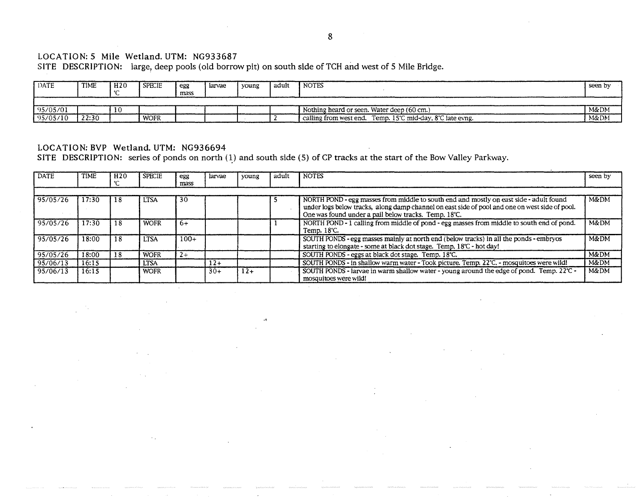## LOCATION: 5 Mile Wetland. UTM: NG933687

SITE DESCRIPTION: large, deep pools (old borrow pit) on south side of TCH and west of 5 Mile Bridge.

| DATE     | <b>TIME</b> | H2O | <b>SPECIE</b> | egg  | larvae | young | . adult | <b>NOTES</b>                                              | seen by |
|----------|-------------|-----|---------------|------|--------|-------|---------|-----------------------------------------------------------|---------|
|          |             |     |               | mass |        |       |         |                                                           |         |
|          |             |     |               |      |        |       |         |                                                           |         |
| 95/05/01 |             |     |               |      |        |       |         | Nothing heard or seen. Water deep (60 cm.)                | M&DM    |
| 95/05/10 | 22:30       |     | WOFR          |      |        |       |         | calling from west end. Temp. 15°C mid-day, 8°C late evng. | M&DM    |

## LOCATION: BVP Wetland. UTM: NG936694

SITE DESCRIPTION: series of ponds on north  $(1)$  and south side (5) of CP tracks at the start of the Bow Valley Parkway.

| <b>DATE</b> | <b>TIME</b> | H <sub>20</sub> | <b>SPECIE</b> | egg<br>mass | larvae | young | adult | <b>NOTES</b>                                                                                                                                                                                                                                     | seen by         |
|-------------|-------------|-----------------|---------------|-------------|--------|-------|-------|--------------------------------------------------------------------------------------------------------------------------------------------------------------------------------------------------------------------------------------------------|-----------------|
|             |             |                 |               |             |        |       |       |                                                                                                                                                                                                                                                  |                 |
| 95/05/26    | 17:30       | 18              | <b>LTSA</b>   | 30          |        |       |       | NORTH POND - egg masses from middle to south end and mostly on east side - adult found<br>under logs below tracks, along damp channel on east side of pool and one on west side of pool.<br>One was found under a pail below tracks. Temp. 18°C. | M&DM            |
| 95/05/26    | 17:30       | 18              | <b>WOFR</b>   | $f +$       |        |       |       | NORTH POND - 1 calling from middle of pond - egg masses from middle to south end of pond.<br>Temp. 18°C.                                                                                                                                         | M&DM            |
| 95/05/26    | 18:00       | 18              | <b>LTSA</b>   | $100+$      |        |       |       | SOUTH PONDS - egg masses mainly at north end (below tracks) in all the ponds - embryos<br>starting to elongate - some at black dot stage. Temp. 18°C - hot day!                                                                                  | M&DM            |
| 95/05/26    | 18:00       | 18              | <b>WOFR</b>   | $2+$        |        |       |       | SOUTH PONDS - eggs at black dot stage. Temp. 18°C.                                                                                                                                                                                               | M&DM            |
| 95/06/13    | 16:15       |                 | <b>LTSA</b>   |             | $12+$  |       |       | SOUTH PONDS - in shallow warm water - Took picture. Temp. 22°C. - mosquitoes were wild!                                                                                                                                                          | M&DM            |
| 95/06/13    | 16:15       |                 | <b>WOFR</b>   |             | $30+$  | $12+$ |       | SOUTH PONDS - larvae in warm shallow water - young around the edge of pond. Temp. $22^{\circ}$ -<br>mosquitoes were wild!                                                                                                                        | <b>M&amp;DM</b> |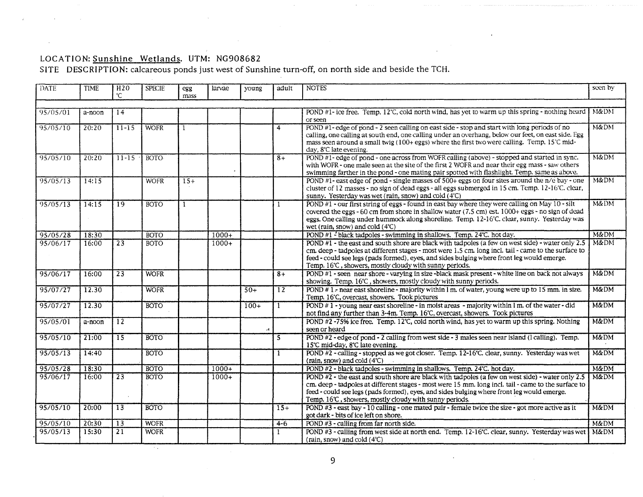## LOCATION: Sunshine Wetlands. UTM: NG908682

 $\sim$   $\alpha$ 

SITE DESCRIPTION: calcareous ponds just west of Sunshine turn-off, on north side and beside the TCH.

| DATE     | <b>TIME</b> | H <sub>20</sub><br>°C | <b>SPECIE</b> | egg<br>mass | larvae  | young  | adult          | <b>NOTES</b>                                                                                                                                                                                                                                                                                                                                                      | seen by         |
|----------|-------------|-----------------------|---------------|-------------|---------|--------|----------------|-------------------------------------------------------------------------------------------------------------------------------------------------------------------------------------------------------------------------------------------------------------------------------------------------------------------------------------------------------------------|-----------------|
|          |             |                       |               |             |         |        |                |                                                                                                                                                                                                                                                                                                                                                                   |                 |
| 95/05/01 | a-noon      | 14                    |               |             |         |        |                | POND #1- ice free. Temp, 12°C, cold north wind, has yet to warm up this spring - nothing heard<br>or seen                                                                                                                                                                                                                                                         | M&DM            |
| 95/05/10 | 20:20       | $11 - 15$             | <b>WOFR</b>   |             |         |        | $\overline{4}$ | POND #1- edge of pond - 2 seen calling on east side - stop and start with long periods of no<br>calling, one calling at south end, one calling under an overhang, below our feet, on east side. Egg<br>mass seen around a small twig (100+ eggs) where the first two were calling. Temp. 15°C mid-<br>day, 8°C late evening.                                      | M&DM            |
| 95/05/10 | 20:20       | $11 - 15$             | ROTO-         |             |         |        | $8+$           | POND #1- edge of pond - one across from WOFR calling (above) - stopped and started in sync.<br>with WOFR - one male seen at the site of the first 2 WOFR and near their egg mass - saw others<br>swimming farther in the pond - one mating pair spotted with flashlight. Temp. same as above.                                                                     | M&DM            |
| 95/05/13 | 14:15       |                       | <b>WOFR</b>   | $15+$       |         |        |                | POND #1- east edge of pond - single masses of $500+$ eggs on four sites around the n/e bay - one<br>cluster of 12 masses - no sign of dead eggs - all eggs submerged in 15 cm. Temp. 12-16°C. clear,<br>sunny. Yesterday was wet (rain, snow) and cold (4°C)                                                                                                      | M&DM            |
| 95/05/13 | 14:15       | 19                    | <b>BOTO</b>   |             |         |        |                | $\overline{POND}$ #1 - our first string of eggs - found in east bay where they were calling on May 10 - silt<br>covered the eggs - 60 cm from shore in shallow water (7.5 cm) est. 1000+ eggs - no sign of dead<br>eggs. One calling under hummock along shoreline. Temp. 12-16°C. clear, sunny. Yesterday was<br>wet (rain, snow) and cold $(4^{\circ}C)$        | $M\&DM$         |
| 95/05/28 | 18:30       |                       | <b>BOTO</b>   |             | $1000+$ |        |                | POND #1 - black tadpoles - swimming in shallows. Temp. 24°C. hot day.                                                                                                                                                                                                                                                                                             | M&DM            |
| 95/06/17 | 16:00       | $\overline{23}$       | <b>BOTO</b>   |             | $1000+$ |        |                | POND $#1$ - the east and south shore are black with tadpoles (a few on west side) - water only 2.5<br>cm. deep - tadpoles at different stages - most were 1.5 cm. long incl. tail - came to the surface to<br>feed - could see legs (pads formed), eyes, and sides bulging where front leg would emerge.<br>Temp. 16℃, showers, mostly cloudy with sunny periods. | M&DM            |
| 95/06/17 | 16:00       | $\overline{23}$       | <b>WOFR</b>   |             |         |        | $8+$           | POND #1 - seen near shore - varying in size -black mask present - white line on back not always<br>showing. Temp. 16°C, showers, mostly cloudy with sunny periods.                                                                                                                                                                                                | M&DM            |
| 95/07/27 | 12.30       |                       | <b>WOFR</b>   |             |         | $50+$  | $12^{\circ}$   | POND # 1 - near east shoreline - majority within $1 \text{ m}$ , of water, young were up to 15 mm. in size.<br>Temp. 16°C, overcast, showers. Took pictures                                                                                                                                                                                                       | M&DM            |
| 95/07/27 | 12.30       |                       | <b>BOTO</b>   |             |         | $100+$ |                | POND $\#$ 1 - young near east shoreline - in moist areas - majority within 1 m. of the water - did<br>not find any further than 3-4m. Temp. 16°C, overcast, showers. Took pictures                                                                                                                                                                                | M&DM            |
| 95/05/01 | a-noon      | $\overline{12}$       |               |             |         |        |                | POND #2-75% ice free. Temp. $12^{\circ}$ C, cold north wind, has yet to warm up this spring. Nothing<br>seen or heard                                                                                                                                                                                                                                             | <b>M&amp;DM</b> |
| 95/05/10 | 21:00       | $\overline{15}$       | <b>BOTO</b>   |             |         |        | 5              | POND #2 - edge of pond - 2 calling from west side - 3 males seen near island (l calling). Temp.<br>15°C mid-day, 8°C late evening.                                                                                                                                                                                                                                | M&DM            |
| 95/05/13 | 14:40       |                       | <b>BOTO</b>   |             |         |        |                | POND #2 - calling - stopped as we got closer. Temp. 12-16°C. clear, sunny. Yesterday was wet<br>(rain, snow) and cold (4°C)                                                                                                                                                                                                                                       | M&DM            |
| 95/05/28 | 18:30       |                       | <b>BOTO</b>   |             | $1000+$ |        |                | POND #2 - black tadpoles - swimming in shallows. Temp. 24°C. hot day.                                                                                                                                                                                                                                                                                             | M&DM            |
| 95/06/17 | 16:00       | $\overline{23}$       | <b>BOTO</b>   |             | $1000+$ |        |                | POND #2 - the east and south shore are black with tadpoles (a few on west side) - water only 2.5<br>cm. deep - tadpoles at different stages - most were 15 mm. long incl. tail - came to the surface to<br>feed - could see legs (pads formed), eyes, and sides bulging where front leg would emerge.<br>Temp. 16℃, showers, mostly cloudy with sunny periods.    | <b>M&amp;DM</b> |
| 95/05/10 | 20:00       | $\overline{13}$       | <b>BOTO</b>   |             |         |        | $15+$          | POND $#3$ - east bay - 10 calling - one mated pair - female twice the size - got more active as it<br>got dark - bits of ice left on shore.                                                                                                                                                                                                                       | M&DM            |
| 95/05/10 | 20:30       | $\overline{13}$       | <b>WOFR</b>   |             |         |        | $4 - 6$        | POND #3 - calling from far north side.                                                                                                                                                                                                                                                                                                                            | $M\&DM$         |
| 95/05/13 | 15:30       | $\overline{21}$       | <b>WOFR</b>   |             |         |        | 1              | POND #3 - calling from west side at north end. Temp. 12-16°C. clear, sunny. Yesterday was wet<br>(rain, snow) and cold (4°C)                                                                                                                                                                                                                                      | M&DM            |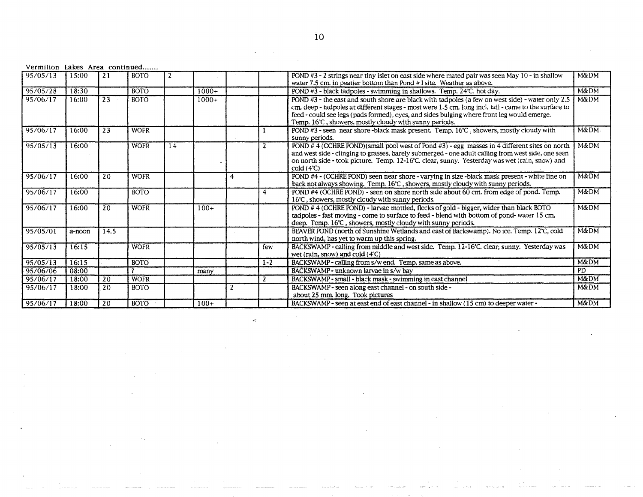|  | Vermilion Lakes Area continued |
|--|--------------------------------|
|  |                                |

| 95/05/13 | 15:00  | $\overline{21}$ | <b>BOTO</b> |    |         |   |         | POND #3 - 2 strings near tiny islet on east side where mated pair was seen May 10 - in shallow<br>water 7.5 cm. in peatier bottom than Pond #1 site. Weather as above.                                                                                                                                                                                             | M&DM            |
|----------|--------|-----------------|-------------|----|---------|---|---------|--------------------------------------------------------------------------------------------------------------------------------------------------------------------------------------------------------------------------------------------------------------------------------------------------------------------------------------------------------------------|-----------------|
| 95/05/28 | 18:30  |                 | <b>BOTO</b> |    | $1000+$ |   |         | POND #3 - black tadpoles - swimming in shallows. Temp. 24°C. hot day.                                                                                                                                                                                                                                                                                              | M&DM            |
| 95/06/17 | 16:00  | 23              | <b>BOTO</b> |    | $1000+$ |   |         | POND $#3$ - the east and south shore are black with tadpoles (a few on west side) - water only 2.5<br>cm. deep - tadpoles at different stages - most were 1.5 cm. long incl. tail - came to the surface to<br>feed - could see legs (pads formed), eyes, and sides bulging where front leg would emerge.<br>Temp. 16°C, showers, mostly cloudy with sunny periods. | M&DM            |
| 95/06/17 | 16:00  | 23              | <b>WOFR</b> |    |         |   |         | POND #3 - seen near shore-black mask present. Temp. 16°C, showers, mostly cloudy with<br>sunny periods.                                                                                                                                                                                                                                                            | M&DM-           |
| 95/05/13 | 16:00  |                 | <b>WOFR</b> | 14 |         |   |         | POND #4 (OCHRE POND)(small pool west of Pond #3) - egg masses in 4 different sites on north<br>and west side - clinging to grasses, barely submerged - one adult calling from west side, one seen<br>on north side - took picture. Temp. 12-16°C. clear, sunny. Yesterday was wet (rain, snow) and<br>cold(4°C)                                                    | M&DM            |
| 95/06/17 | 16:00  | 20              | <b>WOFR</b> |    |         | 4 |         | POND #4 - (OCHRE POND) seen near shore - varying in size -black mask present - white line on<br>back not always showing. Temp. 16°C, showers, mostly cloudy with sunny periods.                                                                                                                                                                                    | <b>M&amp;DM</b> |
| 95/06/17 | 16:00  |                 | <b>BOTO</b> |    |         |   | 4       | POND #4 (OCHRE POND) - seen on shore north side about 60 cm. from edge of pond. Temp.<br>16℃, showers, mostly cloudy with sunny periods.                                                                                                                                                                                                                           | $M\&DM$         |
| 95/06/17 | 16:00  | 20              | <b>WOFR</b> |    | $100+$  |   |         | POND #4 (OCHRE POND) - larvae mottled, flecks of gold - bigger, wider than black BOTO<br>tadpoles - fast moving - come to surface to feed - blend with bottom of pond-water 15 cm.<br>deep. Temp. 16°C, showers, mostly cloudy with sunny periods.                                                                                                                 | M&DM            |
| 95/05/01 | a-noon | 14.5            |             |    |         |   |         | BEAVER POND (north of Sunshine Wetlands and east of Backswamp). No ice. Temp. 12°C, cold<br>north wind, has yet to warm up this spring.                                                                                                                                                                                                                            | M&DM            |
| 95/05/13 | 16:15  |                 | <b>WOFR</b> |    |         |   | few     | BACKSWAMP - calling from middle and west side. Temp. 12-16°C. clear, sunny. Yesterday was<br>wet (rain, snow) and cold $(4^{\circ}C)$                                                                                                                                                                                                                              | M&DM            |
| 95/05/13 | 16:15  |                 | <b>BOTO</b> |    |         |   | $1 - 2$ | BACKSWAMP - calling from s/w end. Temp. same as above.                                                                                                                                                                                                                                                                                                             | M&DM            |
| 95/06/06 | 08:00  |                 |             |    | many    |   |         | BACKSWAMP - unknown larvae in s/w bay                                                                                                                                                                                                                                                                                                                              | <b>PD</b>       |
| 95/06/17 | 18:00  | -20             | <b>WOFR</b> |    |         |   | -2      | BACKSWAMP - small - black mask - swimming in east channel                                                                                                                                                                                                                                                                                                          | M&DM            |
| 95/06/17 | 18:00  | 20              | <b>BOTO</b> |    |         |   |         | BACKSWAMP - seen along east channel - on south side -<br>about 25 mm. long. Took pictures                                                                                                                                                                                                                                                                          | M&DM            |
| 95/06/17 | 18:00  | 20              | <b>BOTO</b> |    | $100+$  |   |         | BACKSWAMP - seen at east end of east channel - in shallow (15 cm) to deeper water -                                                                                                                                                                                                                                                                                | M&DM            |

 $\hat{\mathcal{A}}$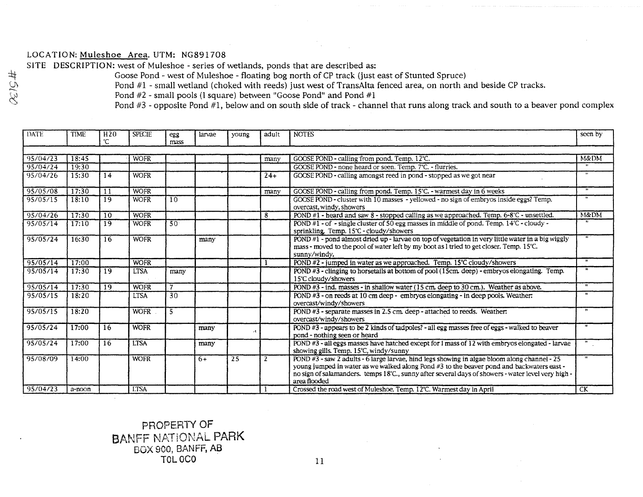## LOCATION: Muleshoe Area. UTM: NG891708

SITE DESCRIPTION: west of Muleshoe - series of wetlands, ponds that are described as:

Goose Pond - west of Muleshoe - floating bog north of CP track (just east of Stunted Spruce)

Pond #1 - small wetland (choked with reeds) just west of TransAlta fenced area, on north and beside CP tracks.

Pond #2 - small pools (l square) between "Goose Pond" and Pond #1

Pond #3 - opposite Pond #1, below and on south side of track - channel that runs along track and south to a beaver pond complex

| <b>DATE</b> | <b>TIME</b> | H <sub>20</sub><br>°C | <b>SPECIE</b> | egg<br>mass       | larvae | young           | adult          | <b>NOTES</b>                                                                                                                                                                                                                                                                                                              | seen by         |
|-------------|-------------|-----------------------|---------------|-------------------|--------|-----------------|----------------|---------------------------------------------------------------------------------------------------------------------------------------------------------------------------------------------------------------------------------------------------------------------------------------------------------------------------|-----------------|
|             |             |                       |               |                   |        |                 |                |                                                                                                                                                                                                                                                                                                                           |                 |
| 95/04/23    | 18:45       |                       | <b>WOFR</b>   |                   |        |                 | many           | GOOSE POND - calling from pond. Temp. 12°C.                                                                                                                                                                                                                                                                               | <b>M&amp;DM</b> |
| 95/04/24    | 19:30       |                       |               |                   |        |                 |                | GOOSE POND - none heard or seen. Temp. 7°C. - flurries.                                                                                                                                                                                                                                                                   |                 |
| 95/04/26    | 15:30       | l 14                  | <b>WOFR</b>   |                   |        |                 | $24+$          | GOOSE POND - calling amongst reed in pond - stopped as we got near                                                                                                                                                                                                                                                        |                 |
| 95/05/08    | 17:30       | 11                    | <b>WOFR</b>   |                   |        |                 | many           | GOOSE POND - calling from pond. Temp. 15°C. - warmest day in 6 weeks                                                                                                                                                                                                                                                      | $\mathbf{H}$    |
| 95/05/15    | 18:10       | 19                    | <b>WOFR</b>   | 10                |        |                 |                | GOOSE POND - cluster with 10 masses - yellowed - no sign of embryos inside eggs? Temp.<br>overcast, windy, showers                                                                                                                                                                                                        |                 |
| 95/04/26    | 17:30       | $\overline{10}$       | <b>WOFR</b>   |                   |        |                 | 8              | POND #1 - heard and saw 8 - stopped calling as we approached. Temp. 6-8°C - unsettled.                                                                                                                                                                                                                                    | M&DM            |
| 95/05/14    | 17:10       | 19                    | <b>WOFR</b>   | 50                |        |                 |                | POND #1 - of - single cluster of 50 egg masses in middle of pond. Temp. $14^{\circ}$ C - cloudy -<br>sprinkling Temp. 15°C - cloudy/showers                                                                                                                                                                               |                 |
| 95/05/24    | 16:30       | 16                    | <b>WOFR</b>   |                   | many   |                 |                | POND #1 - pond almost dried up - larvae on top of vegetation in very little water in a big wiggly<br>mass - moved to the pool of water left by my boot as I tried to get closer. Temp. 15°C.<br>sunny/windy.                                                                                                              |                 |
| 95/05/14    | 17:00       |                       | <b>WOFR</b>   |                   |        |                 |                | POND #2 - jumped in water as we approached. Temp. 15°C cloudy/showers                                                                                                                                                                                                                                                     |                 |
| 95/05/14    | 17:30       | 19                    | <b>LTSA</b>   | many              |        |                 |                | POND #3 - clinging to horsetails at bottom of pool (15cm, deep) - embryos elongating. Temp.<br>15°C cloudy/showers                                                                                                                                                                                                        |                 |
| 95/05/14    | 17:30       | 19                    | <b>WOFR</b>   | $\overline{\tau}$ |        |                 |                | POND #3 - ind. masses - in shallow water (15 cm. deep to 30 cm.). Weather as above.                                                                                                                                                                                                                                       |                 |
| 95/05/15    | 18:20       |                       | <b>LTSA</b>   | $\overline{30}$   |        |                 |                | POND #3 - on reeds at 10 cm deep - embryos elongating - in deep pools. Weather:<br>overcast/windy/showers                                                                                                                                                                                                                 |                 |
| 95/05/15    | 18:20       |                       | <b>WOFR</b>   | 5                 |        |                 |                | POND #3 - separate masses in 2.5 cm. deep - attached to reeds. Weather:<br>overcast/windy/showers                                                                                                                                                                                                                         |                 |
| 95/05/24    | 17:00       | 16                    | <b>WOFR</b>   |                   | many   |                 |                | POND #3 - appears to be 2 kinds of tadpoles? - all egg masses free of eggs - walked to beaver<br>pond - nothing seen or heard                                                                                                                                                                                             |                 |
| 95/05/24    | 17:00       | 16                    | <b>LTSA</b>   |                   | many   |                 |                | POND #3 - all eggs masses have hatched except for 1 mass of 12 with embryos elongated - larvae<br>showing gills. Temp. 15°C, windy/sunny                                                                                                                                                                                  |                 |
| 95/08/09    | 14:00       |                       | <b>WOFR</b>   |                   | $6+$   | $\overline{25}$ | $\overline{2}$ | POND #3 - saw 2 adults - 6 large larvae, hind legs showing in algae bloom along channel - 25<br>young jumped in water as we walked along Pond #3 to the beaver pond and backwaters east -<br>no sign of salamanders. temps $18^{\circ}$ C., sunny after several days of showers - water level very high -<br>area flooded |                 |
| 95/04/23    | a-noon      |                       | <b>LTSA</b>   |                   |        |                 |                | Crossed the road west of Muleshoe, Temp. 12°C. Warmest day in April                                                                                                                                                                                                                                                       | <b>CK</b>       |

## PROPERTY OF BANFF NATIONAL PARK BOX 900, BANFF, AS TOL OCO

#5130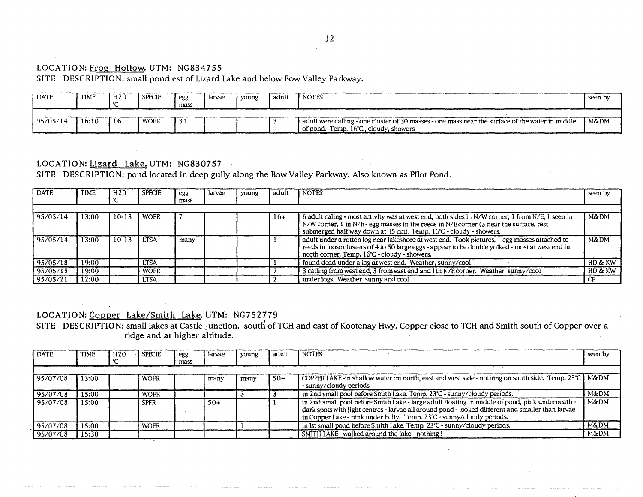## 12

### LOCATION: Frog Hollow. UTM: NG834755

## SITE DESCRIPTION: small pond est of Lizard Lake and below Bow Valley Parkway.

| DATE     | TIME  | H20 | <b>SPECIE</b> | egg  | larvae | voung | l adult | I notes                                                                                          | seen by |
|----------|-------|-----|---------------|------|--------|-------|---------|--------------------------------------------------------------------------------------------------|---------|
|          |       |     |               | mass |        |       |         |                                                                                                  |         |
|          |       |     |               |      |        |       |         |                                                                                                  |         |
| 95/05/14 | 16:10 | 116 | WOFR          |      |        |       |         | adult were calling - one cluster of 30 masses - one mass near the surface of the water in middle | M&DM    |
|          |       |     |               |      |        |       |         | of pond. Temp. 16°C., cloudy, showers                                                            |         |

## LOCATION: Lizard Lake. UTM: NG830757 .

SITE DESCRIPTION: pond located in deep gully along the Bow Valley Parkway. Also known as Pilot Pond.

| <b>DATE</b> | <b>TIME</b> | H <sub>20</sub> | <b>SPECIE</b> | egg<br>mass | larvae | young | adult | <b>NOTES</b>                                                                                                                                                                                                                                                   | seen by |
|-------------|-------------|-----------------|---------------|-------------|--------|-------|-------|----------------------------------------------------------------------------------------------------------------------------------------------------------------------------------------------------------------------------------------------------------------|---------|
|             |             |                 |               |             |        |       |       |                                                                                                                                                                                                                                                                |         |
| 95/05/14    | 13:00       | 10-13           | <b>WOFR</b>   |             |        |       | $16+$ | 6 adult caling - most activity was at west end, both sides in N/W corner, 1 from N/E, 1 seen in<br>N/W corner, 1 in N/E - egg masses in the reeds in N/E corner (3 near the surface, rest<br>submerged half way down at 15 cm). Temp. 16°C - cloudy - showers. | M&DM    |
| 95/05/14    | 13:00       | $10-13$         | <b>LTSA</b>   | many        |        |       |       | adult under a rotten log near lakeshore at west end. Took pictures, - egg masses attached to<br>reeds in loose clusters of 4 to 50 large eggs - appear to be double yolked - most at west end in<br>north corner. Temp. 16°C - cloudy - showers.               | M&DM    |
| 95/05/18    | 19:00       |                 | <b>LTSA</b>   |             |        |       |       | found dead under a log at west end. Weather, sunny/cool                                                                                                                                                                                                        | HD & KW |
| 95/05/18    | 19:00       |                 | <b>WOFR</b>   |             |        |       |       | 3 calling from west end, 3 from east end and 1 in N/E corner. Weather, sunny/cool                                                                                                                                                                              | HD & KW |
| 95/05/21    | 12:00       |                 | <b>LTSA</b>   |             |        |       |       | under logs. Weather, sunny and cool                                                                                                                                                                                                                            |         |

### LOCATION: Copper Lake/Smith Lake. UTM: NG752779

SITE DESCRIPTION: small lakes at Castle Junction, south of TCH and east of Kootenay Hwy. Copper close to TCH and Smith south of Copper over a ridge and at higher altitude.

| <b>DATE</b> | <b>TIME</b> | H <sub>20</sub> | <b>SPECIE</b> | egg<br>mass | larvae | young | adult | <b>NOTES</b>                                                                                                                                                                                                                                                                  | seen by         |
|-------------|-------------|-----------------|---------------|-------------|--------|-------|-------|-------------------------------------------------------------------------------------------------------------------------------------------------------------------------------------------------------------------------------------------------------------------------------|-----------------|
|             |             |                 |               |             |        |       |       |                                                                                                                                                                                                                                                                               |                 |
| 95/07/08    | 13:00       |                 | <b>WOFR</b>   |             | many   | many  | $50+$ | COPPER LAKE-in shallow water on north, east and west side - nothing on south side. Temp. 23℃   M&DM<br>- sunny/cloudy periods                                                                                                                                                 |                 |
| 95/07/08    | 5:00        |                 | <b>WOFR</b>   |             |        |       |       | in 2nd small pool before Smith Lake. Temp. 23°C - sunny/cloudy periods.                                                                                                                                                                                                       | M&DM            |
| 95/07/08    | 15:00       |                 | <b>SPFR</b>   |             | $50+$  |       |       | in 2nd small pool before Smith Lake - large adult floating in middle of pond, pink underneath -<br>dark spots with light centres - larvae all around pond - looked different and smaller than larvae<br>in Copper Lake - pink under belly. Temp. 23°C - sunny/cloudy periods. | <b>M&amp;DM</b> |
| 95/07/08    | 15:00       |                 | <b>WOFR</b>   |             |        |       |       | in 1st small pond before Smith Lake. Temp. 23°C - sunny/cloudy periods.                                                                                                                                                                                                       | M&DM            |
| 95/07/08    | 15:30       |                 |               |             |        |       |       | SMITH LAKE - walked around the lake - nothing!                                                                                                                                                                                                                                | M&DM            |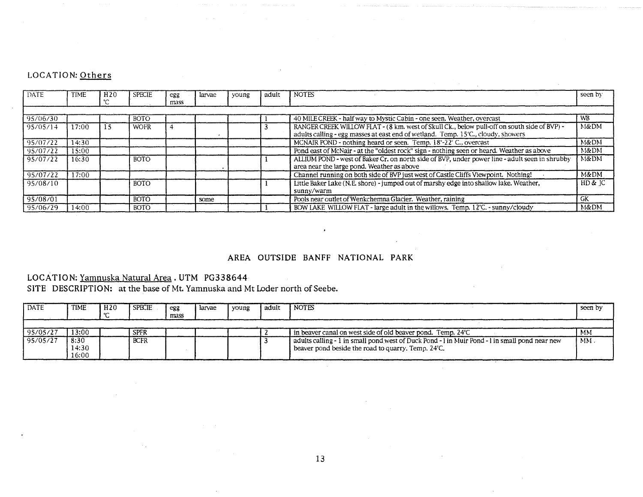## LOCATION: Others

| <b>DATE</b> | TIME  | H20 | <b>SPECIE</b> | egg<br>mass | larvae | voung | adult | <b>NOTES</b>                                                                                                                                                                    | seen by   |
|-------------|-------|-----|---------------|-------------|--------|-------|-------|---------------------------------------------------------------------------------------------------------------------------------------------------------------------------------|-----------|
|             |       |     |               |             |        |       |       |                                                                                                                                                                                 |           |
| 195/06/30   |       |     | <b>BOTO</b>   |             |        |       |       | 40 MILE CREEK - half way to Mystic Cabin - one seen. Weather, overcast                                                                                                          | <b>WB</b> |
| 95/05/14    | 7:00  |     | <b>WOFR</b>   |             |        |       |       | RANGER CREEK WILLOW FLAT - (8 km. west of Skull Ck., below pull-off on south side of BVP) -<br>adults calling - egg masses at east end of wetland. Temp. 15°C., cloudy, showers | M&DM      |
| 95/07/22    | 14:30 |     |               |             |        |       |       | MCNAIR POND - nothing heard or seen. Temp. 18°-22° C., overcast                                                                                                                 | M&DM      |
| 95/07/22    | 15:00 |     |               |             |        |       |       | Pond east of McNair - at the "oldest rock" sign - nothing seen or heard. Weather as above                                                                                       | M&DM      |
| 95/07/22    | 16:30 |     | <b>BOTO</b>   |             |        |       |       | ALLIUM POND - west of Baker Cr, on north side of BVP, under power line - adult seen in shrubby<br>area near the large pond. Weather as above                                    | M&DM      |
| 95/07/22    | 17:00 |     |               |             |        |       |       | Channel running on both side of BVP just west of Castle Cliffs Viewpoint. Nothing!                                                                                              | M&DM      |
| 95/08/10    |       |     | <b>BOTO</b>   |             |        |       |       | Little Baker Lake (N.E. shore) - jumped out of marshy edge into shallow lake. Weather,<br>sunny/warm                                                                            | HD & C    |
| 95/08/01    |       |     | <b>BOTO</b>   |             | some   |       |       | Pools near outlet of Wenkchemna Glacier. Weather, raining                                                                                                                       | GK.       |
| 95/06/29    | 14:00 |     | <b>BOTO</b>   |             |        |       |       | BOW LAKE WILLOW FLAT - large adult in the willows. Temp. 12°C. - sunny/cloudy                                                                                                   | M&DM      |

## AREA OUTSIDE BANFF NATIONAL PARK

## LOCATION: Yamnuska Natural Area. UTM PG338644

SITE DESCRIPTION: at the base of Mt. Yamnuska and Mt Loder north of Seebe.

| <b>DATE</b> | TIME                   | H2O | I SPECIE    | egg<br>mass | larvae | voung | adult | I notes                                                                                                                                              | seen by |
|-------------|------------------------|-----|-------------|-------------|--------|-------|-------|------------------------------------------------------------------------------------------------------------------------------------------------------|---------|
| 95/05/27    | 13:00                  |     | <b>SPFR</b> |             |        |       |       | in beaver canal on west side of old beaver pond. Temp. 24°C                                                                                          | MM      |
| 95/05/27    | 8:30<br>14:30<br>16:00 |     | <b>BCFR</b> |             |        |       |       | adults calling - 1 in small pond west of Duck Pond - 1 in Muir Pond - 1 in small pond near new<br>beaver pond beside the road to quarry. Temp. 24°C. | $MM$ .  |

 $\sim$